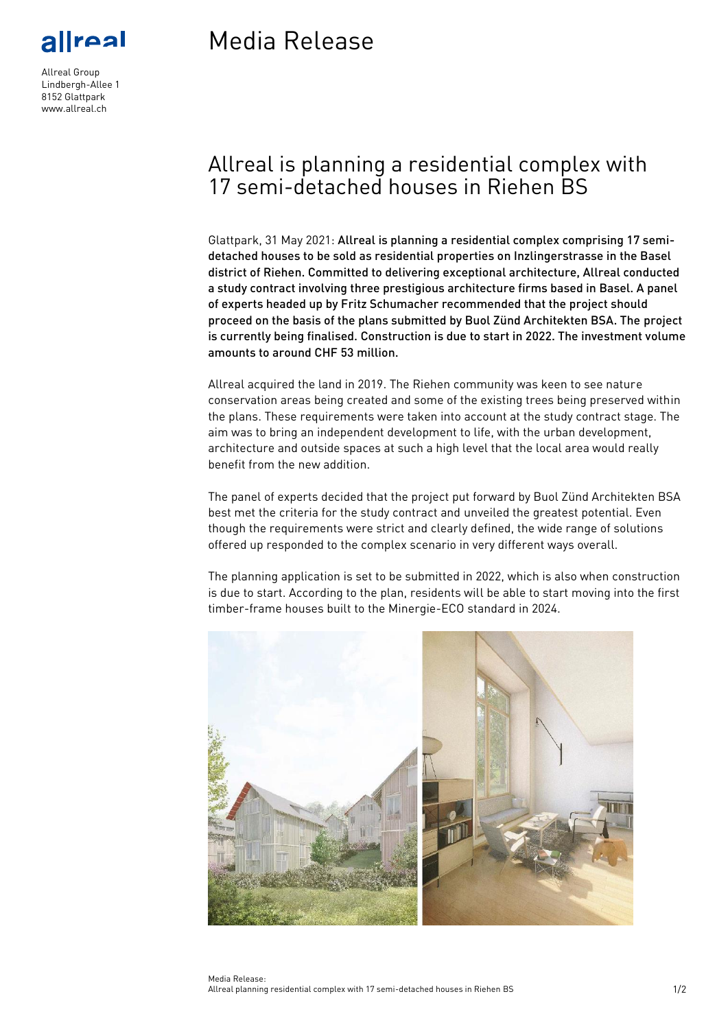real

Allreal Group Lindbergh-Allee 1 8152 Glattpark www.allreal.ch

# Media Release

## Allreal is planning a residential complex with 17 semi-detached houses in Riehen BS

Glattpark, 31 May 2021: Allreal is planning a residential complex comprising 17 semidetached houses to be sold as residential properties on Inzlingerstrasse in the Basel district of Riehen. Committed to delivering exceptional architecture, Allreal conducted a study contract involving three prestigious architecture firms based in Basel. A panel of experts headed up by Fritz Schumacher recommended that the project should proceed on the basis of the plans submitted by Buol Zünd Architekten BSA. The project is currently being finalised. Construction is due to start in 2022. The investment volume amounts to around CHF 53 million.

Allreal acquired the land in 2019. The Riehen community was keen to see nature conservation areas being created and some of the existing trees being preserved within the plans. These requirements were taken into account at the study contract stage. The aim was to bring an independent development to life, with the urban development, architecture and outside spaces at such a high level that the local area would really benefit from the new addition.

The panel of experts decided that the project put forward by Buol Zünd Architekten BSA best met the criteria for the study contract and unveiled the greatest potential. Even though the requirements were strict and clearly defined, the wide range of solutions offered up responded to the complex scenario in very different ways overall.

The planning application is set to be submitted in 2022, which is also when construction is due to start. According to the plan, residents will be able to start moving into the first timber-frame houses built to the Minergie-ECO standard in 2024.